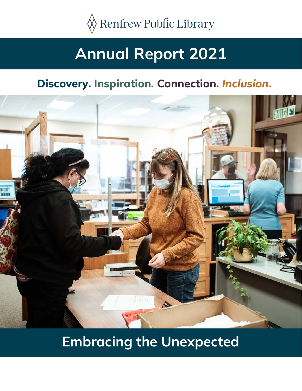

# **Annual Report 2021**

## **Discovery. Inspiration. Connection.** *Inclusion.*



# **Embracing the Unexpected**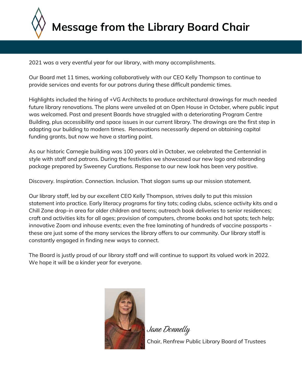

2021 was a very eventful year for our library, with many accomplishments.

Our Board met 11 times, working collaboratively with our CEO Kelly Thompson to continue to provide services and events for our patrons during these difficult pandemic times.

**28,802** future library renovations. The plans were unveiled at an Open House in October, where public input was welcomed. Past and present Boards have struggled with a deteriorating Program Centre<br>Building, plus accessibility and space issues in our current library. The drawings are the first step in **materials** funding grants, but now we have a starting point. adapting our building to modern times. Renovations necessarily depend on obtaining capital<br>funding grants, but now we have a starting point. Highlights included the hiring of +VG Architects to produce architectural drawings for much needed was welcomed. Past and present Boards have struggled with a deteriorating Program Centre

**borrowed materials** As our historic Carnegie building was 100 years old in October, we celebrated the Centennial in style with staff and patrons. During the festivities we showcased our new logo and rebranding<br>package prepared by Sweeney Curations, Pespense to our new look has been very pesitive package prepared by Sweeney Curations. Response to our new look has been very positive.

Discovery. Inspiration. Connection. Inclusion. That slogan sums up our mission statement.

**433** Our library staff, led by our excellent CEO Kelly Thompson, strives daily to put this mission statement into practice. Early literacy programs for tiny tots; coding clubs, science activity kits and a<br>Chill Zone drep, in greg for elder children and teens: outregeb book deliveries to senier residences: crim zone drop-in dred for older children and teens, outfedch book deliveries to senior residences,<br>craft and activities kits for all ages; provision of computers, chrome books and hot spots; tech help; these are just some of the many services the library offers to our community. Our library staff is Chill Zone drop-in area for older children and teens; outreach book deliveries to senior residences; innovative Zoom and inhouse events; even the free laminating of hundreds of vaccine passports constantly engaged in finding new ways to connect.

**Members** The Board is justly proud of our library staff and will continue to support its valued work in 2022. We hope it will be a kinder year for everyone.



Jane Donnelly

Chair, Renfrew Public Library Board of Trustees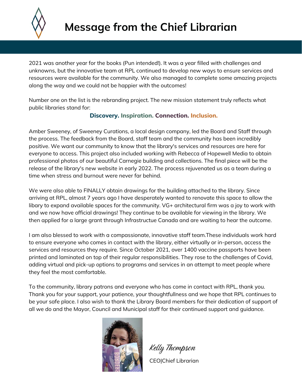

2021 was another year for the books (Pun intended!). It was a year filled with challenges and unknowns, but the innovative team at RPL continued to develop new ways to ensure services and resources were available for the community. We also managed to complete some amazing projects along the way and we could not be happier with the outcomes!

Number one on the list is the rebranding project. The new mission statement truly reflects what public libraries stand for:

#### **Discovery. Inspiration. Connection. Inclusion.**

Amber Sweeney, of Sweeney Curations, a local design company, led the Board and Staff through the process. The feedback from the Board, staff team and the community has been incredibly positive. We want our community to know that the library's services and resources are here for everyone to access. This project also included working with Rebecca of Hopewell Media to obtain professional photos of our beautiful Carnegie building and collections. The final piece will be the release of the library's new website in early 2022. The process rejuvenated us as a team during a time when stress and burnout were never far behind.

We were also able to FINALLY obtain drawings for the building attached to the library. Since arriving at RPL, almost 7 years ago I have desperately wanted to renovate this space to allow the libary to expand available spaces for the community. VG+ architectural firm was a joy to work with and we now have official drawings! They continue to be available for viewing in the library. We then applied for a large grant through Infrastructue Canada and are waiting to hear the outcome.

I am also blessed to work with a compassionate, innovative staff team.These individuals work hard to ensure everyone who comes in contact with the library, either virtually or in-person, access the services and resources they require. Since October 2021, over 1400 vaccine passports have been printed and laminated on top of their regular responsibilities. They rose to the challenges of Covid, adding virtual and pick-up options to programs and services in an attempt to meet people where they feel the most comfortable.

To the community, library patrons and everyone who has come in contact with RPL, thank you. Thank you for your support, your patience, your thoughtfullness and we hope that RPL continues to be your safe place. I also wish to thank the Library Board members for their dedication of support of all we do and the Mayor, Council and Municipal staff for their continued support and guidance.



Kelly Thompson CEO|Chief Librarian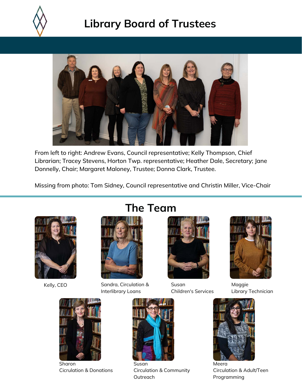

# **Library Board of Trustees**



From left to right: Andrew Evans, Council representative; Kelly Thompson, Chief Librarian; Tracey Stevens, Horton Twp. representative; Heather Dale, Secretary; Jane Donnelly, Chair; Margaret Maloney, Trustee; Donna Clark, Trustee.

Missing from photo: Tom Sidney, Council representative and Christin Miller, Vice-Chair





Sharon Cicrulation & Donations

# **The Team**



Kelly, CEO Sandra, Circulation & Interlibrary Loans

Susan

**Outreach** 

Circulation & Community



Susan Children's Services



Maggie Library Technician



Meera Circulation & Adult/Teen Programming

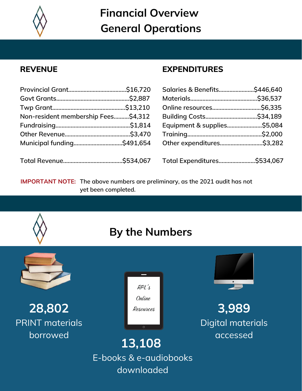

**Financial Overview General Operations**

#### **REVENUE**

| Non-resident membership Fees\$4,312 |  |
|-------------------------------------|--|
|                                     |  |
|                                     |  |
|                                     |  |
|                                     |  |

#### **EXPENDITURES**

| Equipment & supplies\$5,084 |  |
|-----------------------------|--|
|                             |  |
| Other expenditures\$3,282   |  |
|                             |  |
| Total Expenditures\$534,067 |  |

**IMPORTANT NOTE:** The above numbers are preliminary, as the 2021 audit has not **yet been completed.**

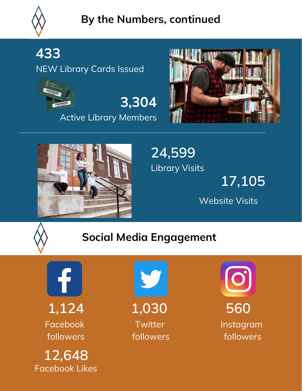

# **By the Numbers, continued**

**433**

NEW Library Cards Issued





Active Library Members





**24,599** Library Visits

**17,105**

Website Visits



# **Social Media Engagement**

f Facebook followers

Facebook Likes **12,648**



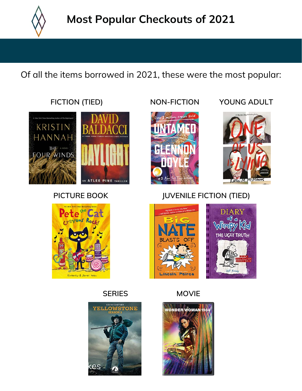

Of all the items borrowed in 2021, these were the most popular:









#### **FICTION (TIED) NON-FICTION YOUNG ADULT**



### **PICTURE BOOK JUVENILE FICTION (TIED)**



**SERIES MOVIE**

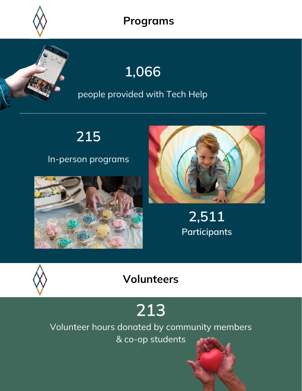

### **Programs**

# **1,066**

### people provided with Tech Help

**215**

### In-person programs





**2,511 Participants**



# **Volunteers**

# **213**

Volunteer hours donated by community members

& co-op students